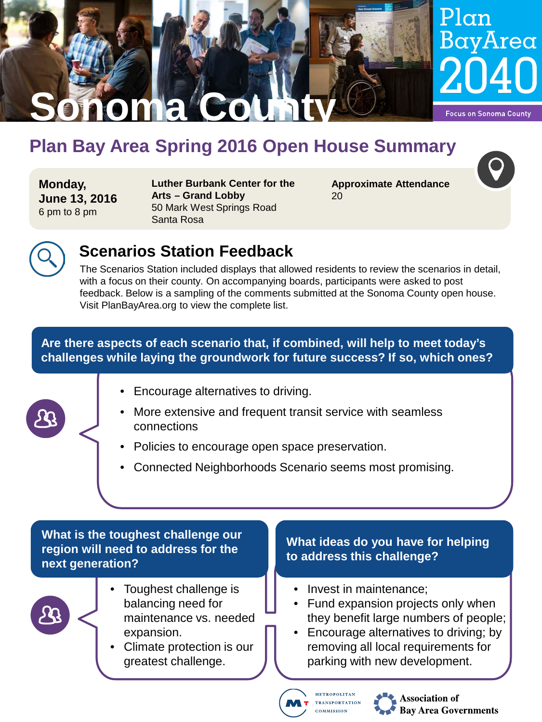

# **Plan Bay Area Spring 2016 Open House Summary**

**Monday, June 13, 2016** 6 pm to 8 pm

**Luther Burbank Center for the Arts – Grand Lobby** 50 Mark West Springs Road Santa Rosa

**Approximate Attendance** 20





## **Scenarios Station Feedback**

The Scenarios Station included displays that allowed residents to review the scenarios in detail, with a focus on their county. On accompanying boards, participants were asked to post feedback. Below is a sampling of the comments submitted at the Sonoma County open house. Visit PlanBayArea.org to view the complete list.

**Are there aspects of each scenario that, if combined, will help to meet today's challenges while laying the groundwork for future success? If so, which ones?**

- Encourage alternatives to driving.
- More extensive and frequent transit service with seamless connections
- Policies to encourage open space preservation.
- Connected Neighborhoods Scenario seems most promising.

**What is the toughest challenge our region will need to address for the next generation?**



• Toughest challenge is balancing need for maintenance vs. needed expansion.

• Climate protection is our greatest challenge.

### **What ideas do you have for helping to address this challenge?**

- Invest in maintenance;
- Fund expansion projects only when they benefit large numbers of people;
- Encourage alternatives to driving; by removing all local requirements for parking with new development.



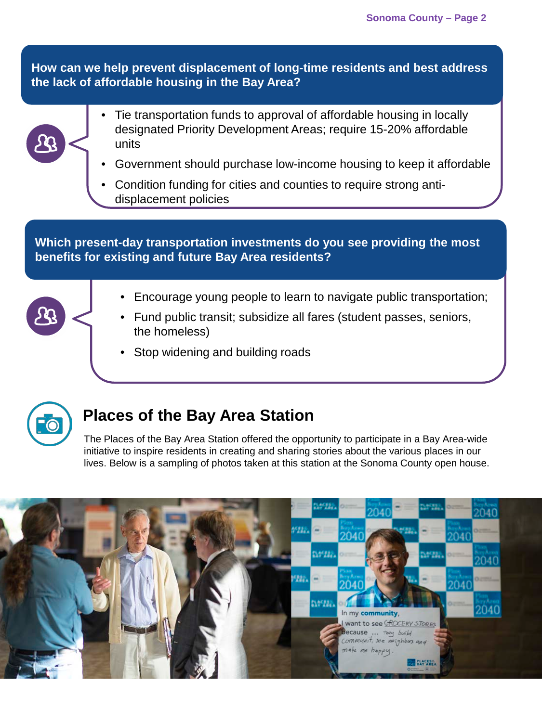**How can we help prevent displacement of long-time residents and best address the lack of affordable housing in the Bay Area?**

#### • Tie transportation funds to approval of affordable housing in locally designated Priority Development Areas; require 15-20% affordable units

- Government should purchase low-income housing to keep it affordable
- Condition funding for cities and counties to require strong antidisplacement policies

**Which present-day transportation investments do you see providing the most benefits for existing and future Bay Area residents?**

- Encourage young people to learn to navigate public transportation;
- Fund public transit; subsidize all fares (student passes, seniors, the homeless)
- Stop widening and building roads



### **Places of the Bay Area Station**

The Places of the Bay Area Station offered the opportunity to participate in a Bay Area-wide initiative to inspire residents in creating and sharing stories about the various places in our lives. Below is a sampling of photos taken at this station at the Sonoma County open house.

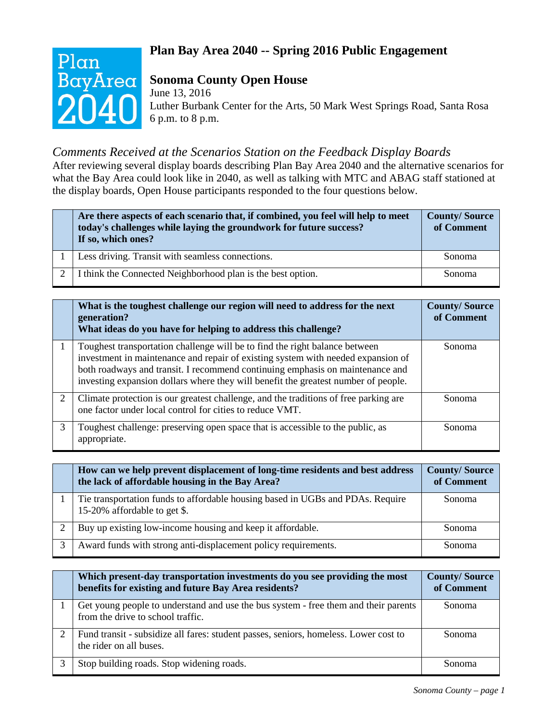### **Plan Bay Area 2040 -- Spring 2016 Public Engagement**



### **Sonoma County Open House**

June 13, 2016 Luther Burbank Center for the Arts, 50 Mark West Springs Road, Santa Rosa 6 p.m. to 8 p.m.

### *Comments Received at the Scenarios Station on the Feedback Display Boards*

After reviewing several display boards describing Plan Bay Area 2040 and the alternative scenarios for what the Bay Area could look like in 2040, as well as talking with MTC and ABAG staff stationed at the display boards, Open House participants responded to the four questions below.

| Are there aspects of each scenario that, if combined, you feel will help to meet<br>today's challenges while laying the groundwork for future success?<br>If so, which ones? | <b>County/Source</b><br>of Comment |
|------------------------------------------------------------------------------------------------------------------------------------------------------------------------------|------------------------------------|
| Less driving. Transit with seamless connections.                                                                                                                             | Sonoma                             |
| I think the Connected Neighborhood plan is the best option.                                                                                                                  | <b>Sonoma</b>                      |

|   | What is the toughest challenge our region will need to address for the next<br>generation?<br>What ideas do you have for helping to address this challenge?                                                                                                                                                                            | <b>County/Source</b><br>of Comment |
|---|----------------------------------------------------------------------------------------------------------------------------------------------------------------------------------------------------------------------------------------------------------------------------------------------------------------------------------------|------------------------------------|
|   | Toughest transportation challenge will be to find the right balance between<br>investment in maintenance and repair of existing system with needed expansion of<br>both roadways and transit. I recommend continuing emphasis on maintenance and<br>investing expansion dollars where they will benefit the greatest number of people. | Sonoma                             |
| 2 | Climate protection is our greatest challenge, and the traditions of free parking are<br>one factor under local control for cities to reduce VMT.                                                                                                                                                                                       | Sonoma                             |
| 3 | Toughest challenge: preserving open space that is accessible to the public, as<br>appropriate.                                                                                                                                                                                                                                         | Sonoma                             |

| How can we help prevent displacement of long-time residents and best address<br>the lack of affordable housing in the Bay Area? | <b>County/Source</b><br>of Comment |
|---------------------------------------------------------------------------------------------------------------------------------|------------------------------------|
| Tie transportation funds to affordable housing based in UGBs and PDAs. Require<br>15-20% affordable to get \$.                  | Sonoma                             |
| Buy up existing low-income housing and keep it affordable.                                                                      | Sonoma                             |
| Award funds with strong anti-displacement policy requirements.                                                                  | Sonoma                             |

| Which present-day transportation investments do you see providing the most<br>benefits for existing and future Bay Area residents? | <b>County/Source</b><br>of Comment |
|------------------------------------------------------------------------------------------------------------------------------------|------------------------------------|
| Get young people to understand and use the bus system - free them and their parents<br>from the drive to school traffic.           | Sonoma                             |
| Fund transit - subsidize all fares: student passes, seniors, homeless. Lower cost to<br>the rider on all buses.                    | Sonoma                             |
| Stop building roads. Stop widening roads.                                                                                          | Sonoma                             |